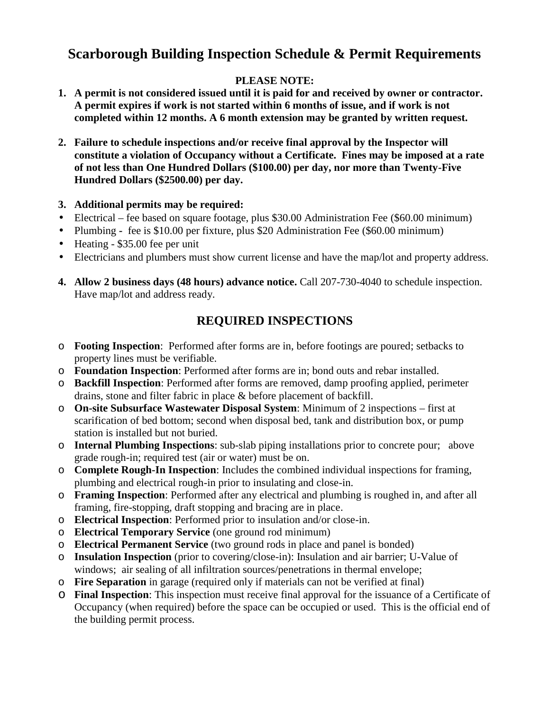## **Scarborough Building Inspection Schedule & Permit Requirements**

## **PLEASE NOTE:**

- **1. A permit is not considered issued until it is paid for and received by owner or contractor. A permit expires if work is not started within 6 months of issue, and if work is not completed within 12 months. A 6 month extension may be granted by written request.**
- **2. Failure to schedule inspections and/or receive final approval by the Inspector will constitute a violation of Occupancy without a Certificate. Fines may be imposed at a rate of not less than One Hundred Dollars (\$100.00) per day, nor more than Twenty-Five Hundred Dollars (\$2500.00) per day.**

## **3. Additional permits may be required:**

- Electrical fee based on square footage, plus \$30.00 Administration Fee (\$60.00 minimum)
- Plumbing **-** fee is \$10.00 per fixture, plus \$20 Administration Fee (\$60.00 minimum)
- Heating \$35.00 fee per unit
- Electricians and plumbers must show current license and have the map/lot and property address.
- **4. Allow 2 business days (48 hours) advance notice.** Call 207-730-4040 to schedule inspection. Have map/lot and address ready.

## **REQUIRED INSPECTIONS**

- o **Footing Inspection**: Performed after forms are in, before footings are poured; setbacks to property lines must be verifiable.
- o **Foundation Inspection**: Performed after forms are in; bond outs and rebar installed.
- o **Backfill Inspection**: Performed after forms are removed, damp proofing applied, perimeter drains, stone and filter fabric in place & before placement of backfill.
- o **On-site Subsurface Wastewater Disposal System**: Minimum of 2 inspections first at scarification of bed bottom; second when disposal bed, tank and distribution box, or pump station is installed but not buried.
- o **Internal Plumbing Inspections**: sub-slab piping installations prior to concrete pour; above grade rough-in; required test (air or water) must be on.
- o **Complete Rough-In Inspection**: Includes the combined individual inspections for framing, plumbing and electrical rough-in prior to insulating and close-in.
- o **Framing Inspection**: Performed after any electrical and plumbing is roughed in, and after all framing, fire-stopping, draft stopping and bracing are in place.
- o **Electrical Inspection**: Performed prior to insulation and/or close-in.
- o **Electrical Temporary Service** (one ground rod minimum)
- o **Electrical Permanent Service** (two ground rods in place and panel is bonded)
- o **Insulation Inspection** (prior to covering/close-in): Insulation and air barrier; U-Value of windows; air sealing of all infiltration sources/penetrations in thermal envelope;
- o **Fire Separation** in garage (required only if materials can not be verified at final)
- o **Final Inspection**: This inspection must receive final approval for the issuance of a Certificate of Occupancy (when required) before the space can be occupied or used. This is the official end of the building permit process.